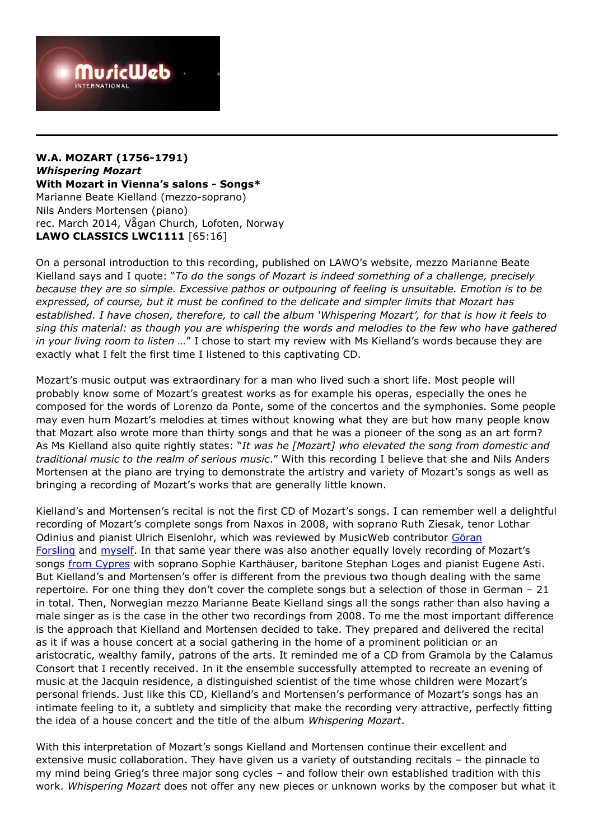

## **W.A. MOZART (1756-1791)** *Whispering Mozart* **With Mozart in Vienna's salons - Songs\*** Marianne Beate Kielland (mezzo-soprano) Nils Anders Mortensen (piano) rec. March 2014, Vågan Church, Lofoten, Norway **LAWO CLASSICS LWC1111** [65:16]

On a personal introduction to this recording, published on LAWO's website, mezzo Marianne Beate Kielland says and I quote: "*To do the songs of Mozart is indeed something of a challenge, precisely because they are so simple. Excessive pathos or outpouring of feeling is unsuitable. Emotion is to be expressed, of course, but it must be confined to the delicate and simpler limits that Mozart has established. I have chosen, therefore, to call the album 'Whispering Mozart', for that is how it feels to sing this material: as though you are whispering the words and melodies to the few who have gathered in your living room to listen …*" I chose to start my review with Ms Kielland's words because they are exactly what I felt the first time I listened to this captivating CD.

Mozart's music output was extraordinary for a man who lived such a short life. Most people will probably know some of Mozart's greatest works as for example his operas, especially the ones he composed for the words of Lorenzo da Ponte, some of the concertos and the symphonies. Some people may even hum Mozart's melodies at times without knowing what they are but how many people know that Mozart also wrote more than thirty songs and that he was a pioneer of the song as an art form? As Ms Kielland also quite rightly states: "*It was he [Mozart] who elevated the song from domestic and traditional music to the realm of serious music*." With this recording I believe that she and Nils Anders Mortensen at the piano are trying to demonstrate the artistry and variety of Mozart's songs as well as bringing a recording of Mozart's works that are generally little known.

Kielland's and Mortensen's recital is not the first CD of Mozart's songs. I can remember well a delightful recording of Mozart's complete songs from Naxos in 2008, with soprano Ruth Ziesak, tenor Lothar Odinius and pianist Ulrich Eisenlohr, which was reviewed by MusicWeb contributor [Göran](http://www.musicweb-international.com/classrev/2008/Sept08/Mozart_Songs_8557900.htm)  [Forsling](http://www.musicweb-international.com/classrev/2008/Sept08/Mozart_Songs_8557900.htm) and [myself](http://www.musicweb-international.com/classrev/2008/Oct08/Mozart_Songs_8557900.htm). In that same year there was also another equally lovely recording of Mozart's songs [from Cypres](http://www.musicweb-international.com/classRev/2008/Mar08/Mozart_songs_cyp1650.htm) with soprano Sophie Karthäuser, baritone Stephan Loges and pianist Eugene Asti. But Kielland's and Mortensen's offer is different from the previous two though dealing with the same repertoire. For one thing they don't cover the complete songs but a selection of those in German – 21 in total. Then, Norwegian mezzo Marianne Beate Kielland sings all the songs rather than also having a male singer as is the case in the other two recordings from 2008. To me the most important difference is the approach that Kielland and Mortensen decided to take. They prepared and delivered the recital as it if was a house concert at a social gathering in the home of a prominent politician or an aristocratic, wealthy family, patrons of the arts. It reminded me of a CD from Gramola by the Calamus Consort that I recently received. In it the ensemble successfully attempted to recreate an evening of music at the Jacquin residence, a distinguished scientist of the time whose children were Mozart's personal friends. Just like this CD, Kielland's and Mortensen's performance of Mozart's songs has an intimate feeling to it, a subtlety and simplicity that make the recording very attractive, perfectly fitting the idea of a house concert and the title of the album *Whispering Mozart*.

With this interpretation of Mozart's songs Kielland and Mortensen continue their excellent and extensive music collaboration. They have given us a variety of outstanding recitals – the pinnacle to my mind being Grieg's three major song cycles – and follow their own established tradition with this work. *Whispering Mozart* does not offer any new pieces or unknown works by the composer but what it